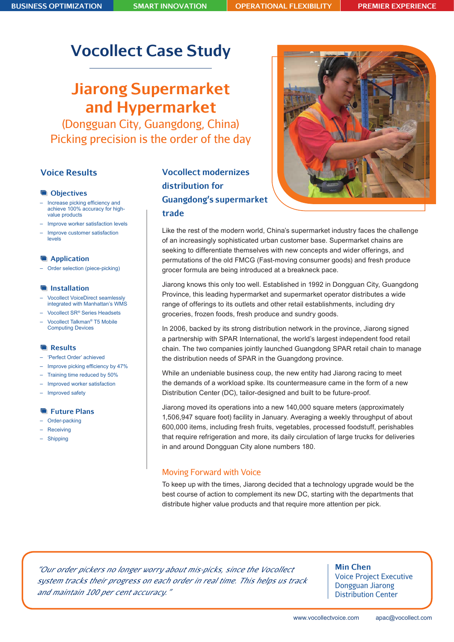# **Vocollect Case Study**

# **Jiarong Supermarket and Hypermarket**

(Dongguan City, Guangdong, China) Picking precision is the order of the day

# **Voice Results**

#### **CD** Objectives

- Increase picking efficiency and achieve 100% accuracy for highvalue products
- Improve worker satisfaction levels
- Improve customer satisfaction levels

#### **Application**

– Order selection (piece-picking)

#### **Installation**

- Vocollect VoiceDirect seamlessly integrated with Manhattan's WMS
- Vocollect SR*®* Series Headsets
- Vocollect Talkman*®* T5 Mobile Computing Devices

#### **Results**

- 'Perfect Order' achieved
- Improve picking efficiency by 47%
- Training time reduced by 50%
- Improved worker satisfaction
- Improved safety

#### **Future Plans**

- Order-packing
- Receiving
- Shipping

# **Vocollect modernizes distribution for Guangdong's supermarket trade**



Like the rest of the modern world, China's supermarket industry faces the challenge of an increasingly sophisticated urban customer base. Supermarket chains are seeking to differentiate themselves with new concepts and wider offerings, and permutations of the old FMCG (Fast-moving consumer goods) and fresh produce grocer formula are being introduced at a breakneck pace.

Jiarong knows this only too well. Established in 1992 in Dongguan City, Guangdong Province, this leading hypermarket and supermarket operator distributes a wide range of offerings to its outlets and other retail establishments, including dry groceries, frozen foods, fresh produce and sundry goods.

In 2006, backed by its strong distribution network in the province, Jiarong signed a partnership with SPAR International, the world's largest independent food retail chain. The two companies jointly launched Guangdong SPAR retail chain to manage the distribution needs of SPAR in the Guangdong province.

While an undeniable business coup, the new entity had Jiarong racing to meet the demands of a workload spike. Its countermeasure came in the form of a new Distribution Center (DC), tailor-designed and built to be future-proof.

Jiarong moved its operations into a new 140,000 square meters (approximately 1,506,947 square foot) facility in January. Averaging a weekly throughput of about 600,000 items, including fresh fruits, vegetables, processed foodstuff, perishables that require refrigeration and more, its daily circulation of large trucks for deliveries in and around Dongguan City alone numbers 180.

### Moving Forward with Voice

To keep up with the times, Jiarong decided that a technology upgrade would be the best course of action to complement its new DC, starting with the departments that distribute higher value products and that require more attention per pick.

*"Our order pickers no longer worry about mis-picks, since the Vocollect system tracks their progress on each order in real time. This helps us track and maintain 100 per cent accuracy."* 

**Min Chen** Voice Project Executive Dongguan Jiarong Distribution Center